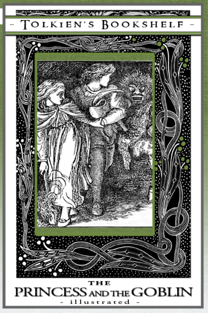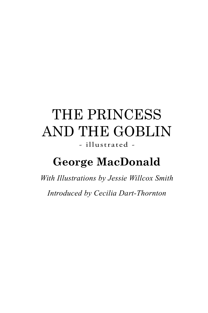### The Princess and the Goblin - illustrated -

### **George MacDonald**

*With Illustrations by Jessie Willcox Smith Introduced by Cecilia Dart-Thornton*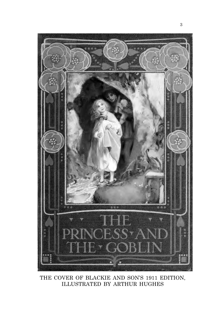

THE COVER OF BLACKIE AND SON'S 1911 EDITION, illustrated by Arthur Hughes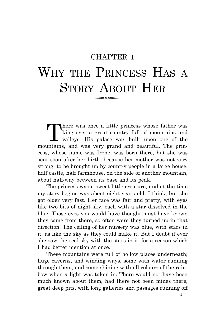#### CHAPTER 1

# WHY THE PRINCESS HAS A STORY ABOUT HER

There was once a little princess whose father was<br>
king over a great country full of mountains and<br>
valleys. His palace was built upon one of the<br>
untains and was vow grand and bouriful. The print king over a great country full of mountains and mountains, and was very grand and beautiful. The princess, whose name was Irene, was born there, but she was sent soon after her birth, because her mother was not very strong, to be brought up by country people in a large house, half castle, half farmhouse, on the side of another mountain, about half-way between its base and its peak.

The princess was a sweet little creature, and at the time my story begins was about eight years old, I think, but she got older very fast. Her face was fair and pretty, with eyes like two bits of night sky, each with a star dissolved in the blue. Those eyes you would have thought must have known they came from there, so often were they turned up in that direction. The ceiling of her nursery was blue, with stars in it, as like the sky as they could make it. But I doubt if ever she saw the real sky with the stars in it, for a reason which I had better mention at once.

These mountains were full of hollow places underneath; huge caverns, and winding ways, some with water running through them, and some shining with all colours of the rainbow when a light was taken in. There would not have been much known about them, had there not been mines there, great deep pits, with long galleries and passages running off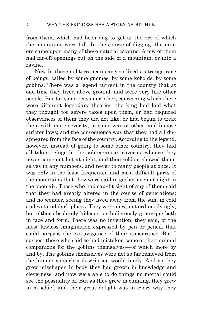from them, which had been dug to get at the ore of which the mountains were full. In the course of digging, the miners came upon many of these natural caverns. A few of them had far-off openings out on the side of a mountain, or into a ravine.

Now in these subterranean caverns lived a strange race of beings, called by some gnomes, by some kobolds, by some goblins. There was a legend current in the country that at one time they lived above ground, and were very like other people. But for some reason or other, concerning which there were different legendary theories, the king had laid what they thought too severe taxes upon them, or had required observances of them they did not like, or had begun to treat them with more severity, in some way or other, and impose stricter laws; and the consequence was that they had all disappeared from the face of the country. According to the legend, however, instead of going to some other country, they had all taken refuge in the subterranean caverns, whence they never came out but at night, and then seldom showed themselves in any numbers, and never to many people at once. It was only in the least frequented and most difficult parts of the mountains that they were said to gather even at night in the open air. Those who had caught sight of any of them said that they had greatly altered in the course of generations; and no wonder, seeing they lived away from the sun, in cold and wet and dark places. They were now, not ordinarily ugly, but either absolutely hideous, or ludicrously grotesque both in face and form. There was no invention, they said, of the most lawless imagination expressed by pen or pencil, that could surpass the extravagance of their appearance. But I suspect those who said so had mistaken some of their animal companions for the goblins themselves—of which more by and by. The goblins themselves were not so far removed from the human as such a description would imply. And as they grew misshapen in body they had grown in knowledge and cleverness, and now were able to do things no mortal could see the possibility of. But as they grew in cunning, they grew in mischief, and their great delight was in every way they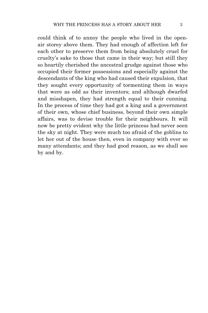could think of to annoy the people who lived in the openair storey above them. They had enough of affection left for each other to preserve them from being absolutely cruel for cruelty's sake to those that came in their way; but still they so heartily cherished the ancestral grudge against those who occupied their former possessions and especially against the descendants of the king who had caused their expulsion, that they sought every opportunity of tormenting them in ways that were as odd as their inventors; and although dwarfed and misshapen, they had strength equal to their cunning. In the process of time they had got a king and a government of their own, whose chief business, beyond their own simple affairs, was to devise trouble for their neighbours. It will now be pretty evident why the little princess had never seen the sky at night. They were much too afraid of the goblins to let her out of the house then, even in company with ever so many attendants; and they had good reason, as we shall see by and by.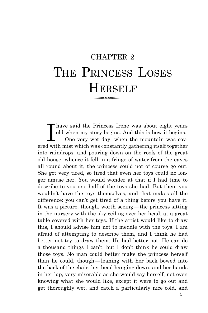## CHAPTER 2 THE PRINCESS LOSES Herself

Thave said the Princess Irene was about eight years old when my story begins. And this is how it begins. One very wet day, when the mountain was covered with mist which was constantly gathering itself together have said the Princess Irene was about eight years old when my story begins. And this is how it begins. One very wet day, when the mountain was covinto raindrops, and pouring down on the roofs of the great old house, whence it fell in a fringe of water from the eaves all round about it, the princess could not of course go out. She got very tired, so tired that even her toys could no longer amuse her. You would wonder at that if I had time to describe to you one half of the toys she had. But then, you wouldn't have the toys themselves, and that makes all the difference: you can't get tired of a thing before you have it. It was a picture, though, worth seeing—the princess sitting in the nursery with the sky ceiling over her head, at a great table covered with her toys. If the artist would like to draw this, I should advise him not to meddle with the toys. I am afraid of attempting to describe them, and I think he had better not try to draw them. He had better not. He can do a thousand things I can't, but I don't think he could draw those toys. No man could better make the princess herself than he could, though—leaning with her back bowed into the back of the chair, her head hanging down, and her hands in her lap, very miserable as she would say herself, not even knowing what she would like, except it were to go out and get thoroughly wet, and catch a particularly nice cold, and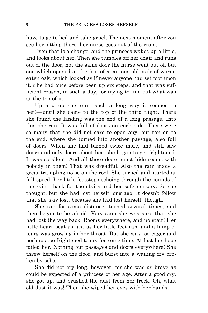have to go to bed and take gruel. The next moment after you see her sitting there, her nurse goes out of the room.

Even that is a change, and the princess wakes up a little, and looks about her. Then she tumbles off her chair and runs out of the door, not the same door the nurse went out of, but one which opened at the foot of a curious old stair of wormeaten oak, which looked as if never anyone had set foot upon it. She had once before been up six steps, and that was sufficient reason, in such a day, for trying to find out what was at the top of it.

Up and up she ran—such a long way it seemed to her!—until she came to the top of the third flight. There she found the landing was the end of a long passage. Into this she ran. It was full of doors on each side. There were so many that she did not care to open any, but ran on to the end, where she turned into another passage, also full of doors. When she had turned twice more, and still saw doors and only doors about her, she began to get frightened. It was so silent! And all those doors must hide rooms with nobody in them! That was dreadful. Also the rain made a great trampling noise on the roof. She turned and started at full speed, her little footsteps echoing through the sounds of the rain—back for the stairs and her safe nursery. So she thought, but she had lost herself long ago. It doesn't follow that she *was* lost, because she had lost herself, though.

She ran for some distance, turned several times, and then began to be afraid. Very soon she was sure that she had lost the way back. Rooms everywhere, and no stair! Her little heart beat as fast as her little feet ran, and a lump of tears was growing in her throat. But she was too eager and perhaps too frightened to cry for some time. At last her hope failed her. Nothing but passages and doors everywhere! She threw herself on the floor, and burst into a wailing cry broken by sobs.

She did not cry long, however, for she was as brave as could be expected of a princess of her age. After a good cry, she got up, and brushed the dust from her frock. Oh, what old dust it was! Then she wiped her eyes with her hands,